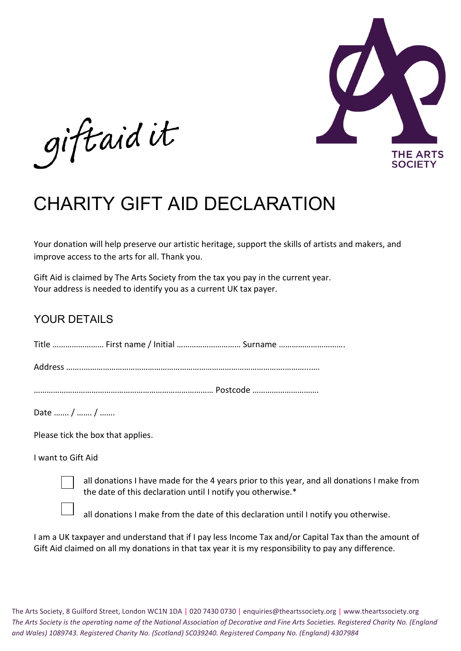

giftaid it

## CHARITY GIFT AID DECLARATION

Your donation will help preserve our artistic heritage, support the skills of artists and makers, and improve access to the arts for all. Thank you.

Gift Aid is claimed by The Arts Society from the tax you pay in the current year. Your address is needed to identify you as a current UK tax payer.

## YOUR DETAILS

Title …………………… First name / Initial ………………………… Surname ………………………….

Address ……..………………………………………………………………………………….………...….

………………………………………………………………………… Postcode ………………………….

Date ……. / ……. / …….

Please tick the box that applies.

I want to Gift Aid

all donations I have made for the 4 years prior to this year, and all donations I make from the date of this declaration until I notify you otherwise.\*

all donations I make from the date of this declaration until I notify you otherwise.

I am a UK taxpayer and understand that if I pay less Income Tax and/or Capital Tax than the amount of Gift Aid claimed on all my donations in that tax year it is my responsibility to pay any difference.

The Arts Society, 8 Guilford Street, London WC1N 1DA | 020 7430 0730 | enquiries@theartssociety.org | www.theartssociety.org *The Arts Society is the operating name of the National Association of Decorative and Fine Arts Societies. Registered Charity No. (England and Wales) 1089743. Registered Charity No. (Scotland) SC039240. Registered Company No. (England) 4307984*